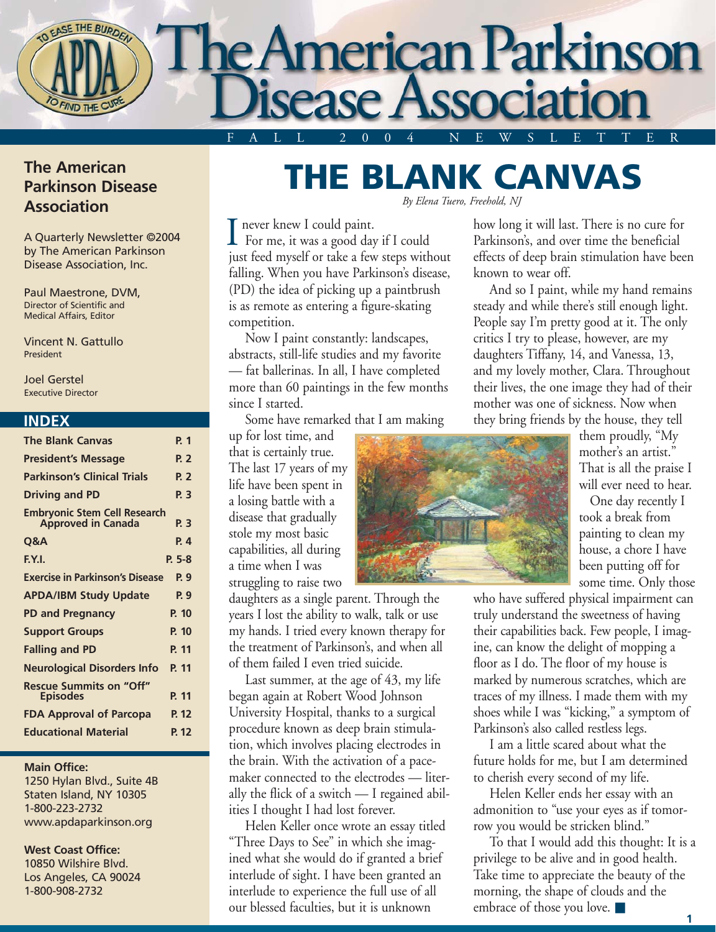

### **The American Parkinson Disease Association**

A Quarterly Newsletter ©2004 by The American Parkinson Disease Association, Inc.

Paul Maestrone, DVM, Director of Scientific and Medical Affairs, Editor

Vincent N. Gattullo President

Joel Gerstel Executive Director

#### **INDEX**

| <b>The Blank Canvas</b>                                          | P. 1      |
|------------------------------------------------------------------|-----------|
| <b>President's Message</b>                                       | P. 2      |
| <b>Parkinson's Clinical Trials</b>                               | P. 2      |
| <b>Driving and PD</b>                                            | P. 3      |
| <b>Embryonic Stem Cell Research</b><br><b>Approved in Canada</b> | P. 3      |
| Q&A                                                              | <b>P4</b> |
| F.Y.I.                                                           | $P. 5-8$  |
| <b>Exercise in Parkinson's Disease</b>                           | P. 9      |
| <b>APDA/IBM Study Update</b>                                     | P. 9      |
| <b>PD and Pregnancy</b>                                          | P. 10     |
| <b>Support Groups</b>                                            | P. 10     |
| <b>Falling and PD</b>                                            | P. 11     |
| <b>Neurological Disorders Info</b>                               | P. 11     |
| <b>Rescue Summits on "Off"</b><br><b>Episodes</b>                | P. 11     |
| <b>FDA Approval of Parcopa</b>                                   | P. 12     |
| <b>Educational Material</b>                                      | P. 12     |

#### **Main Office:**

1250 Hylan Blvd., Suite 4B Staten Island, NY 10305 1-800-223-2732 www.apdaparkinson.org

#### **West Coast Office:**

10850 Wilshire Blvd. Los Angeles, CA 90024 1-800-908-2732

### **THE BLANK CANVAS** *By Elena Tuero, Freehold, NJ*

never knew I could paint.  $\prod$  never knew I could paint.<br>For me, it was a good day if I could just feed myself or take a few steps without falling. When you have Parkinson's disease, (PD) the idea of picking up a paintbrush is as remote as entering a figure-skating competition.

Now I paint constantly: landscapes, abstracts, still-life studies and my favorite — fat ballerinas. In all, I have completed more than 60 paintings in the few months since I started.

Some have remarked that I am making

up for lost time, and that is certainly true. The last 17 years of my life have been spent in a losing battle with a disease that gradually stole my most basic capabilities, all during a time when I was struggling to raise two

daughters as a single parent. Through the years I lost the ability to walk, talk or use my hands. I tried every known therapy for the treatment of Parkinson's, and when all of them failed I even tried suicide.

Last summer, at the age of 43, my life began again at Robert Wood Johnson University Hospital, thanks to a surgical procedure known as deep brain stimulation, which involves placing electrodes in the brain. With the activation of a pacemaker connected to the electrodes — literally the flick of a switch — I regained abilities I thought I had lost forever.

Helen Keller once wrote an essay titled "Three Days to See" in which she imagined what she would do if granted a brief interlude of sight. I have been granted an interlude to experience the full use of all our blessed faculties, but it is unknown

how long it will last. There is no cure for Parkinson's, and over time the beneficial effects of deep brain stimulation have been known to wear off. And so I paint, while my hand remains

steady and while there's still enough light. People say I'm pretty good at it. The only critics I try to please, however, are my daughters Tiffany, 14, and Vanessa, 13, and my lovely mother, Clara. Throughout their lives, the one image they had of their mother was one of sickness. Now when they bring friends by the house, they tell

> them proudly, "My mother's an artist." That is all the praise I will ever need to hear.

One day recently I took a break from painting to clean my house, a chore I have been putting off for some time. Only those

who have suffered physical impairment can truly understand the sweetness of having their capabilities back. Few people, I imagine, can know the delight of mopping a floor as I do. The floor of my house is marked by numerous scratches, which are traces of my illness. I made them with my shoes while I was "kicking," a symptom of Parkinson's also called restless legs.

I am a little scared about what the future holds for me, but I am determined to cherish every second of my life.

Helen Keller ends her essay with an admonition to "use your eyes as if tomorrow you would be stricken blind."

To that I would add this thought: It is a privilege to be alive and in good health. Take time to appreciate the beauty of the morning, the shape of clouds and the embrace of those you love. ■

**1**

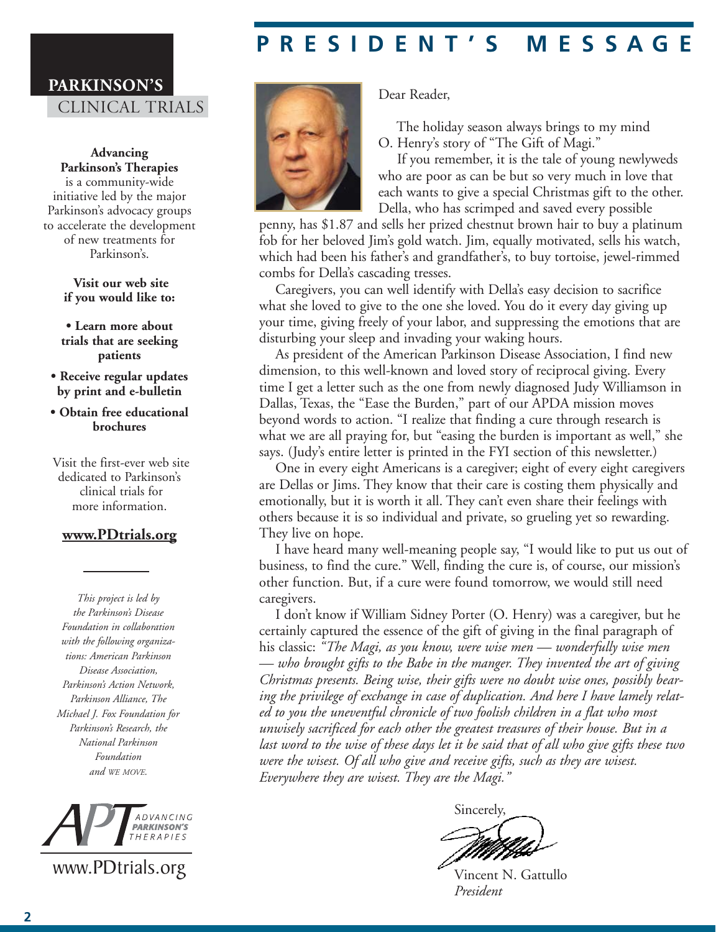## **PRESIDENT'S MESSAGE**

### **PARKINSON'S** CLINICAL TRIALS

**Advancing Parkinson's Therapies** is a community-wide initiative led by the major Parkinson's advocacy groups to accelerate the development of new treatments for Parkinson's.

> **Visit our web site if you would like to:**

**• Learn more about trials that are seeking patients**

**• Receive regular updates by print and e-bulletin**

**• Obtain free educational brochures**

Visit the first-ever web site dedicated to Parkinson's clinical trials for more information.

#### **www.PDtrials.org**

*This project is led by the Parkinson's Disease Foundation in collaboration with the following organizations: American Parkinson Disease Association, Parkinson's Action Network, Parkinson Alliance, The Michael J. Fox Foundation for Parkinson's Research, the National Parkinson Foundation and WE MOVE.*



www.PDtrials.org



Dear Reader,

The holiday season always brings to my mind O. Henry's story of "The Gift of Magi."

If you remember, it is the tale of young newlyweds who are poor as can be but so very much in love that each wants to give a special Christmas gift to the other. Della, who has scrimped and saved every possible

penny, has \$1.87 and sells her prized chestnut brown hair to buy a platinum fob for her beloved Jim's gold watch. Jim, equally motivated, sells his watch, which had been his father's and grandfather's, to buy tortoise, jewel-rimmed combs for Della's cascading tresses.

Caregivers, you can well identify with Della's easy decision to sacrifice what she loved to give to the one she loved. You do it every day giving up your time, giving freely of your labor, and suppressing the emotions that are disturbing your sleep and invading your waking hours.

As president of the American Parkinson Disease Association, I find new dimension, to this well-known and loved story of reciprocal giving. Every time I get a letter such as the one from newly diagnosed Judy Williamson in Dallas, Texas, the "Ease the Burden," part of our APDA mission moves beyond words to action. "I realize that finding a cure through research is what we are all praying for, but "easing the burden is important as well," she says. (Judy's entire letter is printed in the FYI section of this newsletter.)

One in every eight Americans is a caregiver; eight of every eight caregivers are Dellas or Jims. They know that their care is costing them physically and emotionally, but it is worth it all. They can't even share their feelings with others because it is so individual and private, so grueling yet so rewarding. They live on hope.

I have heard many well-meaning people say, "I would like to put us out of business, to find the cure." Well, finding the cure is, of course, our mission's other function. But, if a cure were found tomorrow, we would still need caregivers.

I don't know if William Sidney Porter (O. Henry) was a caregiver, but he certainly captured the essence of the gift of giving in the final paragraph of his classic: *"The Magi, as you know, were wise men — wonderfully wise men — who brought gifts to the Babe in the manger. They invented the art of giving Christmas presents. Being wise, their gifts were no doubt wise ones, possibly bearing the privilege of exchange in case of duplication. And here I have lamely related to you the uneventful chronicle of two foolish children in a flat who most unwisely sacrificed for each other the greatest treasures of their house. But in a last word to the wise of these days let it be said that of all who give gifts these two were the wisest. Of all who give and receive gifts, such as they are wisest. Everywhere they are wisest. They are the Magi."*

Sincerely,

Vincent N. Gattullo *President*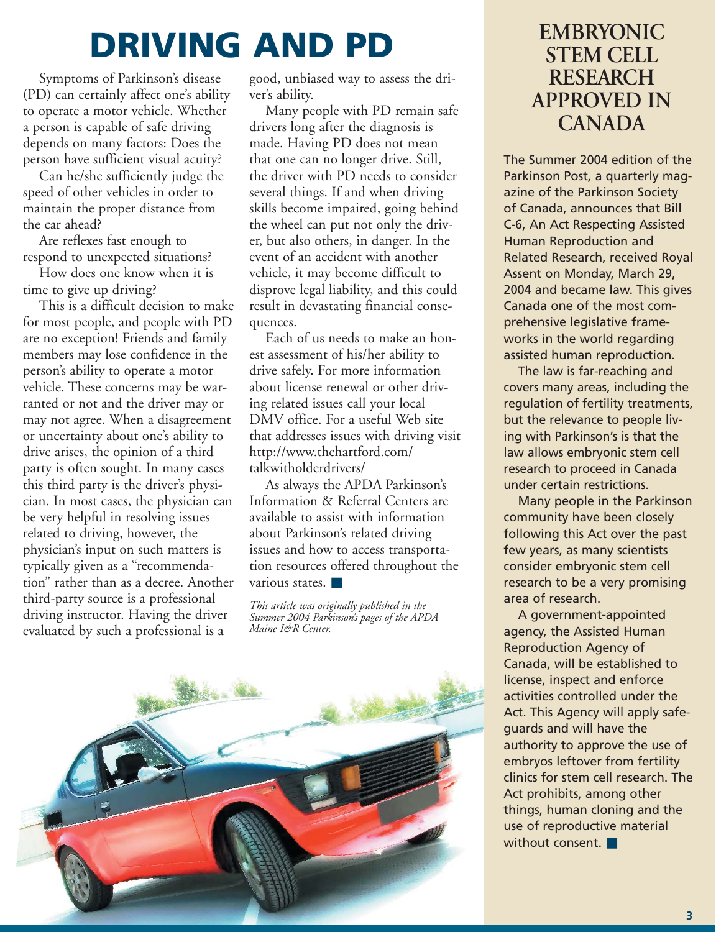## **DRIVING AND PD**

Symptoms of Parkinson's disease (PD) can certainly affect one's ability to operate a motor vehicle. Whether a person is capable of safe driving depends on many factors: Does the person have sufficient visual acuity?

Can he/she sufficiently judge the speed of other vehicles in order to maintain the proper distance from the car ahead?

Are reflexes fast enough to respond to unexpected situations?

How does one know when it is time to give up driving?

This is a difficult decision to make for most people, and people with PD are no exception! Friends and family members may lose confidence in the person's ability to operate a motor vehicle. These concerns may be warranted or not and the driver may or may not agree. When a disagreement or uncertainty about one's ability to drive arises, the opinion of a third party is often sought. In many cases this third party is the driver's physician. In most cases, the physician can be very helpful in resolving issues related to driving, however, the physician's input on such matters is typically given as a "recommendation" rather than as a decree. Another third-party source is a professional driving instructor. Having the driver evaluated by such a professional is a

good, unbiased way to assess the driver's ability.

Many people with PD remain safe drivers long after the diagnosis is made. Having PD does not mean that one can no longer drive. Still, the driver with PD needs to consider several things. If and when driving skills become impaired, going behind the wheel can put not only the driver, but also others, in danger. In the event of an accident with another vehicle, it may become difficult to disprove legal liability, and this could result in devastating financial consequences.

Each of us needs to make an honest assessment of his/her ability to drive safely. For more information about license renewal or other driving related issues call your local DMV office. For a useful Web site that addresses issues with driving visit http://www.thehartford.com/ talkwitholderdrivers/

As always the APDA Parkinson's Information & Referral Centers are available to assist with information about Parkinson's related driving issues and how to access transportation resources offered throughout the various states.

*This article was originally published in the Summer 2004 Parkinson's pages of the APDA Maine I&R Center.*



## **EMBRYONIC STEM CELL RESEARCH APPROVED IN CANADA**

The Summer 2004 edition of the Parkinson Post, a quarterly magazine of the Parkinson Society of Canada, announces that Bill C-6, An Act Respecting Assisted Human Reproduction and Related Research, received Royal Assent on Monday, March 29, 2004 and became law. This gives Canada one of the most comprehensive legislative frameworks in the world regarding assisted human reproduction.

The law is far-reaching and covers many areas, including the regulation of fertility treatments, but the relevance to people living with Parkinson's is that the law allows embryonic stem cell research to proceed in Canada under certain restrictions.

Many people in the Parkinson community have been closely following this Act over the past few years, as many scientists consider embryonic stem cell research to be a very promising area of research.

A government-appointed agency, the Assisted Human Reproduction Agency of Canada, will be established to license, inspect and enforce activities controlled under the Act. This Agency will apply safeguards and will have the authority to approve the use of embryos leftover from fertility clinics for stem cell research. The Act prohibits, among other things, human cloning and the use of reproductive material without consent.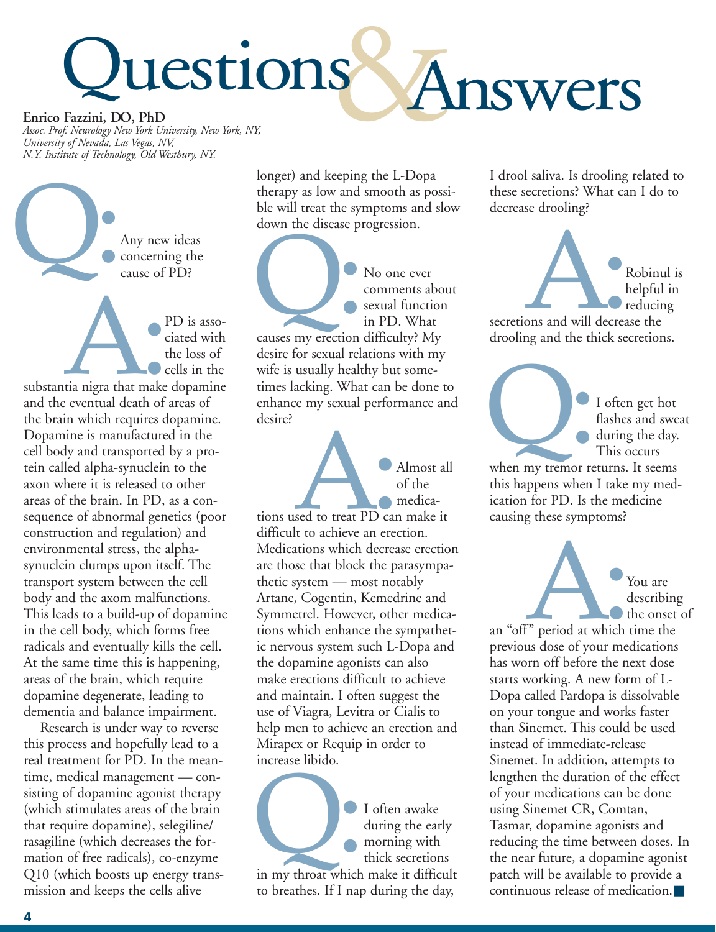# luestions Answers **Enrico Fazzini, DO, PhD**

*Assoc. Prof. Neurology New York University, New York, NY, University of Nevada, Las Vegas, NV, N.Y. Institute of Technology, Old Westbury, NY.*

Any new ideas concerning the cause of PD? Q:

PD is associated with the loss of  $\bigcirc$  cells in the substantia nigra that make dopamine and the eventual death of areas of the brain which requires dopamine. Dopamine is manufactured in the cell body and transported by a protein called alpha-synuclein to the axon where it is released to other areas of the brain. In PD, as a consequence of abnormal genetics (poor construction and regulation) and environmental stress, the alphasynuclein clumps upon itself. The transport system between the cell body and the axom malfunctions. This leads to a build-up of dopamine in the cell body, which forms free radicals and eventually kills the cell. At the same time this is happening, areas of the brain, which require dopamine degenerate, leading to dementia and balance impairment. I

Research is under way to reverse this process and hopefully lead to a real treatment for PD. In the meantime, medical management — consisting of dopamine agonist therapy (which stimulates areas of the brain that require dopamine), selegiline/ rasagiline (which decreases the formation of free radicals), co-enzyme Q10 (which boosts up energy transmission and keeps the cells alive

longer) and keeping the L-Dopa therapy as low and smooth as possible will treat the symptoms and slow down the disease progression.

No one ever comments about sexual function in PD. What No one ever<br>
comments abes<br>
sexual function<br>
in PD. What<br>
causes my erection difficulty? My

desire for sexual relations with my wife is usually healthy but sometimes lacking. What can be done to enhance my sexual performance and desire?

Almost all of the medications used to treat PD can make it difficult to achieve an erection. Medications which decrease erection are those that block the parasympathetic system — most notably Artane, Cogentin, Kemedrine and Symmetrel. However, other medications which enhance the sympathetic nervous system such L-Dopa and the dopamine agonists can also make erections difficult to achieve and maintain. I often suggest the use of Viagra, Levitra or Cialis to help men to achieve an erection and Mirapex or Requip in order to increase libido. sed to treat PD car<br>lt to achieve an erec

I often awake during the early morning with thick secretions I often awake<br>
during the early<br>
morning with<br>
thick secretions<br>
in my throat which make it difficult to breathes. If I nap during the day,

I drool saliva. Is drooling related to these secretions? What can I do to decrease drooling?

Robinul is helpful in reducing secretions and will decrease the drooling and the thick secretions. I

I often get hot flashes and sweat during the day. This occurs I often get hot<br>
flashes and swe<br>
during the day<br>
This occurs<br>
when my tremor returns. It seems

this happens when I take my medication for PD. Is the medicine causing these symptoms?

> You are describing

the onset of an "off" period at which time the previous dose of your medications has worn off before the next dose starts working. A new form of L-Dopa called Pardopa is dissolvable on your tongue and works faster than Sinemet. This could be used instead of immediate-release Sinemet. In addition, attempts to lengthen the duration of the effect of your medications can be done using Sinemet CR, Comtan, Tasmar, dopamine agonists and reducing the time between doses. In the near future, a dopamine agonist patch will be available to provide a continuous release of medication.■ F<sup>r</sup> period at which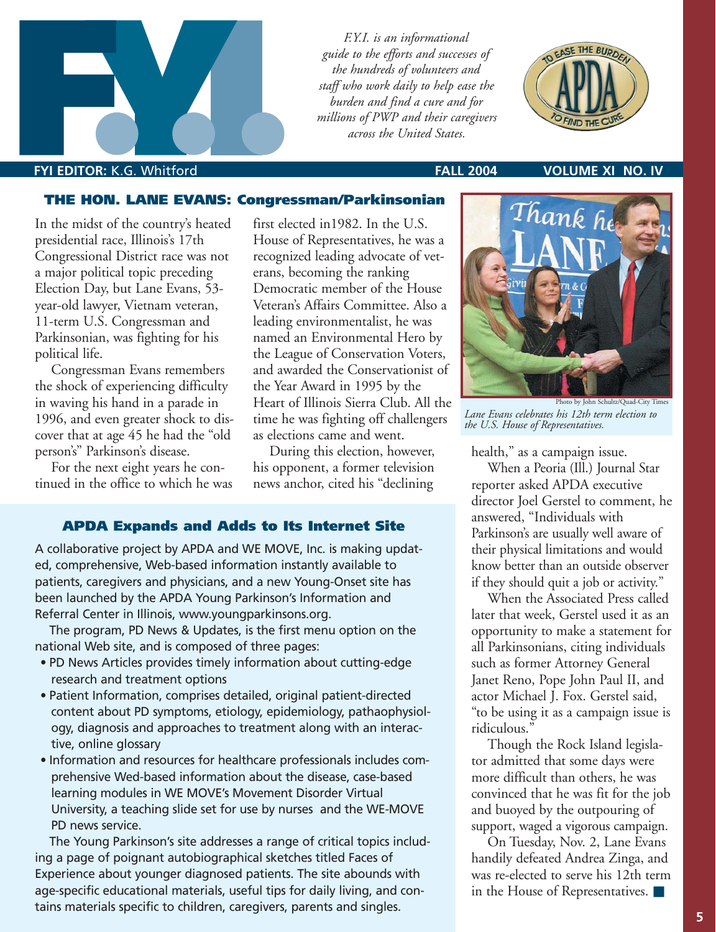



#### **FALL 2004 VOLUME XI NO. IV**

#### **THE HON. LANE EVANS: Congressman/Parkinsonian**

In the midst of the country's heated presidential race, Illinois's 17th Congressional District race was not a major political topic preceding Election Day, but Lane Evans, 53 year-old lawyer, Vietnam veteran, 11-term U.S. Congressman and Parkinsonian, was fighting for his political life.

**FYI EDITOR:** K.G. Whitford

Congressman Evans remembers the shock of experiencing difficulty in waving his hand in a parade in 1996, and even greater shock to discover that at age 45 he had the "old person's" Parkinson's disease.

For the next eight years he continued in the office to which he was first elected in1982. In the U.S. House of Representatives, he was a recognized leading advocate of veterans, becoming the ranking Democratic member of the House Veteran's Affairs Committee. Also a leading environmentalist, he was named an Environmental Hero by the League of Conservation Voters, and awarded the Conservationist of the Year Award in 1995 by the Heart of Illinois Sierra Club. All the time he was fighting off challengers as elections came and went.

During this election, however, his opponent, a former television news anchor, cited his "declining

#### **APDA Expands and Adds to Its Internet Site**

A collaborative project by APDA and WE MOVE, Inc. is making updated, comprehensive, Web-based information instantly available to patients, caregivers and physicians, and a new Young-Onset site has been launched by the APDA Young Parkinson's Information and Referral Center in Illinois, www.youngparkinsons.org.

The program, PD News & Updates, is the first menu option on the national Web site, and is composed of three pages:

- PD News Articles provides timely information about cutting-edge research and treatment options
- Patient Information, comprises detailed, original patient-directed content about PD symptoms, etiology, epidemiology, pathaophysiology, diagnosis and approaches to treatment along with an interactive, online glossary
- Information and resources for healthcare professionals includes comprehensive Wed-based information about the disease, case-based learning modules in WE MOVE's Movement Disorder Virtual University, a teaching slide set for use by nurses and the WE-MOVE PD news service.

The Young Parkinson's site addresses a range of critical topics including a page of poignant autobiographical sketches titled Faces of Experience about younger diagnosed patients. The site abounds with age-specific educational materials, useful tips for daily living, and contains materials specific to children, caregivers, parents and singles.



Photo by John Schultz/Quad-City Times *Lane Evans celebrates his 12th term election to the U.S. House of Representatives.*

health," as a campaign issue.

When a Peoria (Ill.) Journal Star reporter asked APDA executive director Joel Gerstel to comment, he answered, "Individuals with Parkinson's are usually well aware of their physical limitations and would know better than an outside observer if they should quit a job or activity."

When the Associated Press called later that week, Gerstel used it as an opportunity to make a statement for all Parkinsonians, citing individuals such as former Attorney General Janet Reno, Pope John Paul II, and actor Michael J. Fox. Gerstel said, "to be using it as a campaign issue is ridiculous."

Though the Rock Island legislator admitted that some days were more difficult than others, he was convinced that he was fit for the job and buoyed by the outpouring of support, waged a vigorous campaign.

On Tuesday, Nov. 2, Lane Evans handily defeated Andrea Zinga, and was re-elected to serve his 12th term in the House of Representatives. ■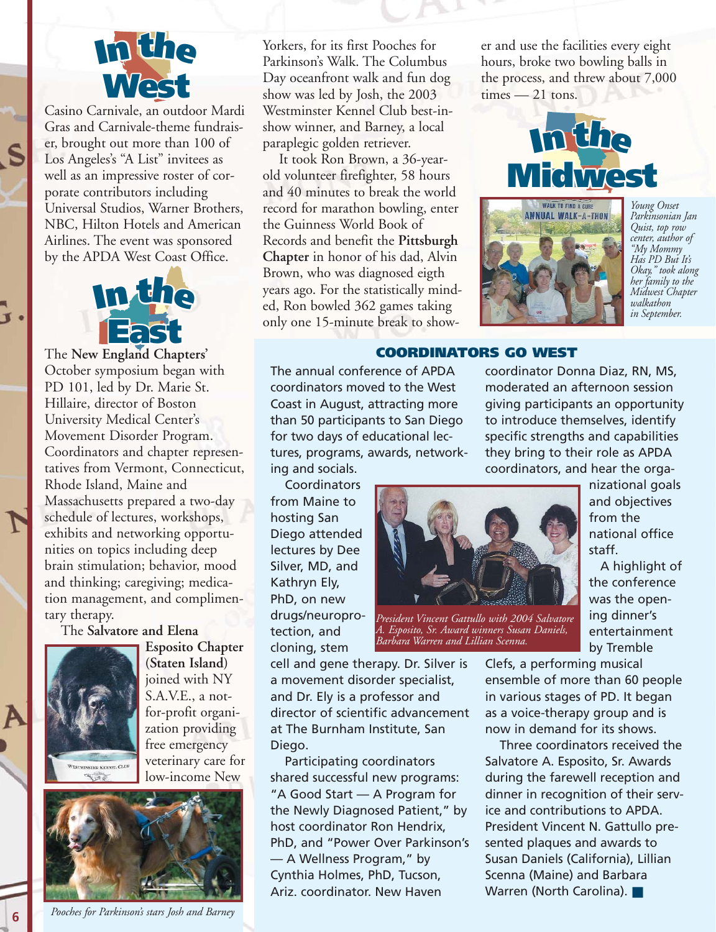

Casino Carnivale, an outdoor Mardi **Casino Carnivale, an outdoor Mardi<br>Gras and Carnivale-theme fundrais**er, brought out more than 100 of er, brought out more than 100 <mark>c</mark><br>Los Angeles's "A List" invitees as well as an impressive roster of corwell as an impressive roster of<br>porate contributors including<br>**I** Injvercel Studios Werner Br Universal Studios, Warner Brothers, NBC, Hilton Hotels and American<br>Airlines. The event was sponsored Airlines. The event was sponsored by the APDA West Coast Office.



The **New England Chapters'** October symposium began with PD 101, led by Dr. Marie St. Hillaire, director of Boston University Medical Center's Movement Disorder Program. Coordinators and chapter representatives from Vermont, Connecticut, Rhode Island, Maine and Massachusetts prepared a two-day schedule of lectures, workshops, exhibits and networking opportunities on topics including deep brain stimulation; behavior, mood and thinking; caregiving; medication management, and complimentary therapy.

#### The **Salvatore and Elena**



**6**

**Esposito Chapter (Staten Island)** joined with NY S.A.V.E., a notfor-profit organization providing free emergency veterinary care for low-income New



*Pooches for Parkinson's stars Josh and Barney*

Yorkers, for its first Pooches for Parkinson's Walk. The Columbus Day oceanfront walk and fun dog show was led by Josh, the 2003 Westminster Kennel Club best-inshow winner, and Barney, a local paraplegic golden retriever.

It took Ron Brown, a 36-yearold volunteer firefighter, 58 hours and 40 minutes to break the world record for marathon bowling, enter the Guinness World Book of Records and benefit the **Pittsburgh Chapter** in honor of his dad, Alvin Brown, who was diagnosed eigth years ago. For the statistically minded, Ron bowled 362 games taking only one 15-minute break to shower and use the facilities every eight er and use the facilities every eigh<br>hours, broke two bowling balls in the process, and threw about 7,000  $times - 21$  tons.



**West** moderated an afternoon session

giving participants an opportunity to introduce themselves, identify specific strengths and capabilities

coordinator Donna Diaz, RN, MS,



*Young Onset Parkinsonian Jan Quist, top row center, author of "My Mommy Has PD But It's Okay," took along her family to the Midwest Chapter walkathon in September.*

## **I<sup>n</sup> th<sup>e</sup> COORDINATORS GO WEST**

The annual conference of APDA coordinators moved to the West Coast in August, attracting more than 50 participants to San Diego for two days of educational lectures, programs, awards, networking and socials.

Coordinators from Maine to hosting San Diego attended lectures by Dee Silver, MD, and Kathryn Ely, PhD, on new drugs/neuroprotection, and cloning, stem

cell and gene therapy. Dr. Silver is a movement disorder specialist, and Dr. Ely is a professor and director of scientific advancement at The Burnham Institute, San Diego.

Participating coordinators shared successful new programs: "A Good Start — A Program for the Newly Diagnosed Patient," by host coordinator Ron Hendrix, PhD, and "Power Over Parkinson's — A Wellness Program," by Cynthia Holmes, PhD, Tucson, Ariz. coordinator. New Haven



*President Vincent Gattullo with 2004 Salvatore A. Esposito, Sr. Award winners Susan Daniels, Barbara Warren and Lillian Scenna.*

**East initially and objectives IPPECTIC Strengths and capabilities**<br> **In** they bring to their role as APDA<br> **Coordinators** and boar the orga coordinators, and hear the organizational goals from the national office staff.

> A highlight of the conference was the opening dinner's entertainment by Tremble

Clefs, a performing musical ensemble of more than 60 people in various stages of PD. It began as a voice-therapy group and is now in demand for its shows.

Three coordinators received the Salvatore A. Esposito, Sr. Awards during the farewell reception and dinner in recognition of their service and contributions to APDA. President Vincent N. Gattullo presented plaques and awards to Susan Daniels (California), Lillian Scenna (Maine) and Barbara Warren (North Carolina). ■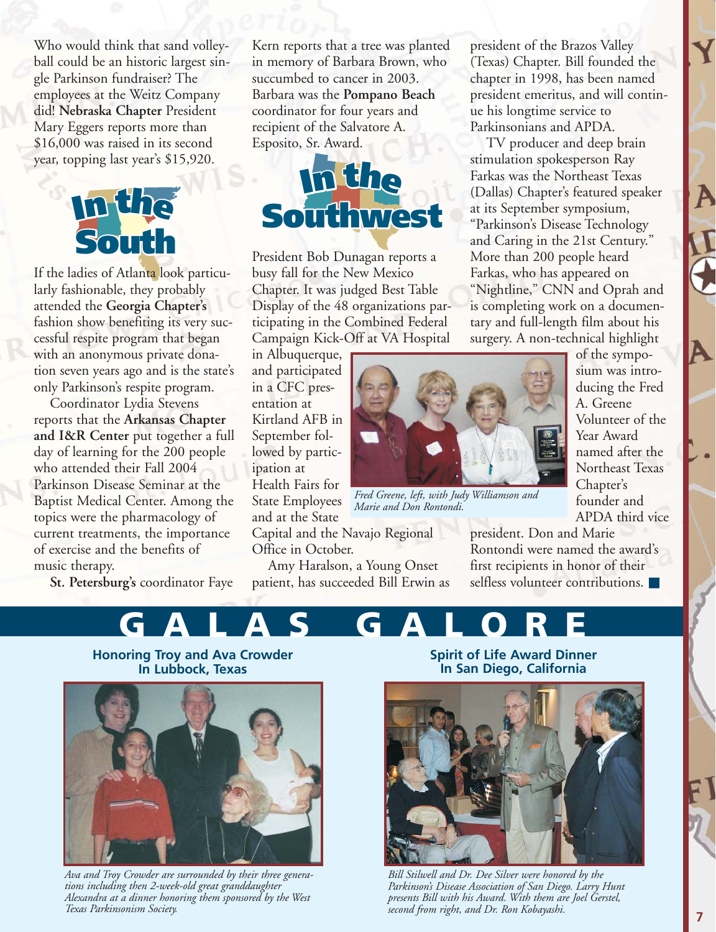Mary Eggers reports more than<br>\$16,000 was raised in its second employees at the Weitz Company<br>did! **Nebraska Chapter** President Who would think that sand volleyball could be an historic largest single Parkinson fundraiser? The did! **Nebraska Chapter** President Mary Eggers reports more than year, topping last year's \$15,920.



**Midwest** tion seven years ago and is the state's **I**<br>**I** fashion show benefiting its very suc-<br>cessful respite program that began If the ladies of Atlanta look particularly fashionable, they probably attended the **Georgia Chapter's** cessful respite program that began with an anonymous private donaonly Parkinson's respite program.

**Southwest** who attended their Fall 2004 **I<sup>n</sup> th<sup>e</sup> and I&R Center** put together a full **I<sup>n</sup> th<sup>e</sup>** current treatments, the importance Coordinator Lydia Stevens reports that the **Arkansas Chapter** day of learning for the 200 people Parkinson Disease Seminar at the Baptist Medical Center. Among the topics were the pharmacology of of exercise and the benefits of music therapy.

isic therapy.<br><mark>St. Petersburg's</mark> coordinator Faye

**Middle Tompano Bear**<br>
coordinator for four years and<br>
recipient of the Salvatore A In memory of Barbara Brown,<br>
succumbed to cancer in 2003. Kern reports that a tree was planted in memory of Barbara Brown, who Barbara was the **Pompano Beach** recipient of the Salvatore A. Esposito, Sr. Award.



**West** ticipating in the Combined Federal busy fall for the New Mexico<br>Chapter. It was judged Best Table President Bob Dunagan reports a busy fall for the New Mexico Display of the 48 organizations par-Campaign Kick-Off at VA Hospital

Kirtland AFB in **In a** CFC presin Albuquerque, and participated entation at September followed by participation at Health Fairs for State Employees and at the State Capital and the Navajo Regional

Office in October.

Amy Haralson, a Young Onset patient, has succeeded Bill Erwin as president of the Brazos Valley (Texas) Chapter. Bill founded the chapter in 1998, has been named president emeritus, and will continue his longtime service to Parkinsonians and APDA.

TV producer and deep brain stimulation spokesperson Ray Farkas was the Northeast Texas (Dallas) Chapter's featured speaker at its September symposium, "Parkinson's Disease Technology and Caring in the 21st Century." More than 200 people heard Farkas, who has appeared on "Nightline," CNN and Oprah and is completing work on a documentary and full-length film about his surgery. A non-technical highlight



*Fred Greene, left, with Judy Williamson and Marie and Don Rontondi.*

APDA third vice president. Don and Marie Rontondi were named the award's first recipients in honor of their selfless volunteer contributions. ■

founder and



**East In Lubbock, Texas**



*Ava and Troy Crowder are surrounded by their three generations including then 2-week-old great granddaughter Alexandra at a dinner honoring them sponsored by the West Texas Parkinsonism Society.*

**Spirit of Life Award Dinner In San Diego, California**



*Bill Stilwell and Dr. Dee Silver were honored by the Parkinson's Disease Association of San Diego. Larry Hunt presents Bill with his Award. With them are Joel Gerstel, second from right, and Dr. Ron Kobayashi.*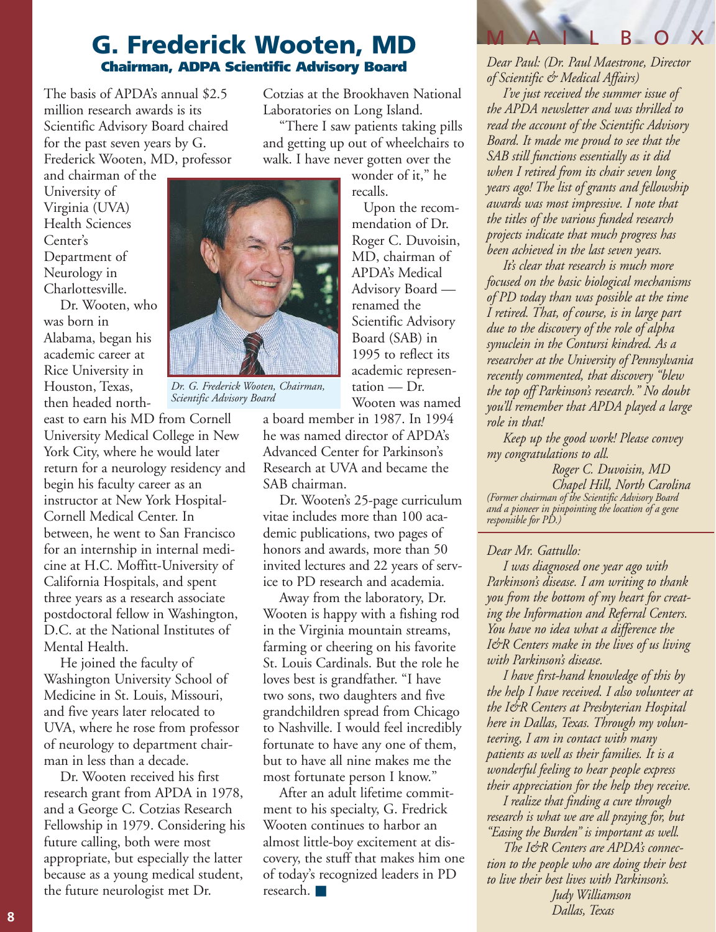### **G. Frederick Wooten, MD Chairman, ADPA Scientific Advisory Board**

The basis of APDA's annual \$2.5 million research awards is its Scientific Advisory Board chaired for the past seven years by G. Frederick Wooten, MD, professor

and chairman of the University of Virginia (UVA) Health Sciences Center's Department of Neurology in Charlottesville.

Dr. Wooten, who was born in Alabama, began his academic career at Rice University in Houston, Texas, then headed north-

east to earn his MD from Cornell University Medical College in New York City, where he would later return for a neurology residency and begin his faculty career as an instructor at New York Hospital-Cornell Medical Center. In between, he went to San Francisco for an internship in internal medicine at H.C. Moffitt-University of California Hospitals, and spent three years as a research associate postdoctoral fellow in Washington, D.C. at the National Institutes of Mental Health.

He joined the faculty of Washington University School of Medicine in St. Louis, Missouri, and five years later relocated to UVA, where he rose from professor of neurology to department chairman in less than a decade.

Dr. Wooten received his first research grant from APDA in 1978, and a George C. Cotzias Research Fellowship in 1979. Considering his future calling, both were most appropriate, but especially the latter because as a young medical student, the future neurologist met Dr.

Cotzias at the Brookhaven National Laboratories on Long Island.

"There I saw patients taking pills and getting up out of wheelchairs to walk. I have never gotten over the

> wonder of it," he recalls.

Upon the recommendation of Dr. Roger C. Duvoisin, MD, chairman of APDA's Medical Advisory Board renamed the Scientific Advisory Board (SAB) in 1995 to reflect its academic representation — Dr. Wooten was named

a board member in 1987. In 1994 he was named director of APDA's Advanced Center for Parkinson's Research at UVA and became the SAB chairman.

Dr. Wooten's 25-page curriculum vitae includes more than 100 academic publications, two pages of honors and awards, more than 50 invited lectures and 22 years of service to PD research and academia.

Away from the laboratory, Dr. Wooten is happy with a fishing rod in the Virginia mountain streams, farming or cheering on his favorite St. Louis Cardinals. But the role he loves best is grandfather. "I have two sons, two daughters and five grandchildren spread from Chicago to Nashville. I would feel incredibly fortunate to have any one of them, but to have all nine makes me the most fortunate person I know."

After an adult lifetime commitment to his specialty, G. Fredrick Wooten continues to harbor an almost little-boy excitement at discovery, the stuff that makes him one of today's recognized leaders in PD research. ■

*Dear Paul: (Dr. Paul Maestrone, Director of Scientific & Medical Affairs)*

MAILBOX

*I've just received the summer issue of the APDA newsletter and was thrilled to read the account of the Scientific Advisory Board. It made me proud to see that the SAB still functions essentially as it did when I retired from its chair seven long years ago! The list of grants and fellowship awards was most impressive. I note that the titles of the various funded research projects indicate that much progress has been achieved in the last seven years.* 

*It's clear that research is much more focused on the basic biological mechanisms of PD today than was possible at the time I retired. That, of course, is in large part due to the discovery of the role of alpha synuclein in the Contursi kindred. As a researcher at the University of Pennsylvania recently commented, that discovery "blew the top off Parkinson's research." No doubt you'll remember that APDA played a large role in that!*

*Keep up the good work! Please convey my congratulations to all.*

*Roger C. Duvoisin, MD Chapel Hill, North Carolina (Former chairman of the Scientific Advisory Board and a pioneer in pinpointing the location of a gene responsible for PD.)*

#### *Dear Mr. Gattullo:*

*I was diagnosed one year ago with Parkinson's disease. I am writing to thank you from the bottom of my heart for creating the Information and Referral Centers. You have no idea what a difference the I&R Centers make in the lives of us living with Parkinson's disease.* 

*I have first-hand knowledge of this by the help I have received. I also volunteer at the I&R Centers at Presbyterian Hospital here in Dallas, Texas. Through my volunteering, I am in contact with many patients as well as their families. It is a wonderful feeling to hear people express their appreciation for the help they receive.* 

*I realize that finding a cure through research is what we are all praying for, but "Easing the Burden" is important as well.* 

*The I&R Centers are APDA's connection to the people who are doing their best to live their best lives with Parkinson's. Judy Williamson Dallas, Texas*



*Dr. G. Frederick Wooten, Chairman,*

*Scientific Advisory Board*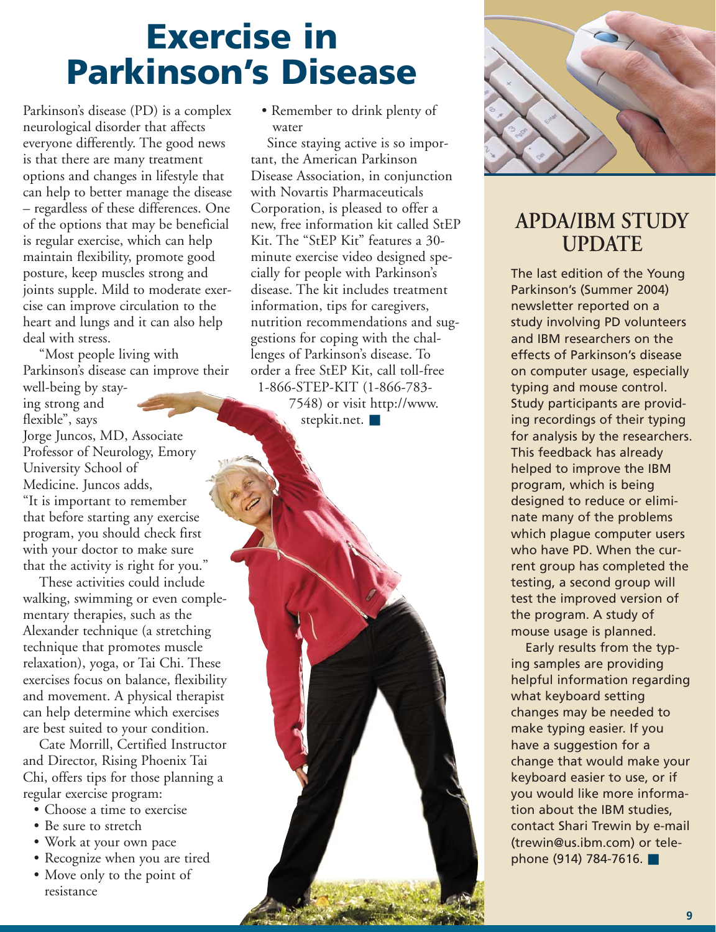## **Exercise in Parkinson's Disease**

Parkinson's disease (PD) is a complex neurological disorder that affects everyone differently. The good news is that there are many treatment options and changes in lifestyle that can help to better manage the disease – regardless of these differences. One of the options that may be beneficial is regular exercise, which can help maintain flexibility, promote good posture, keep muscles strong and joints supple. Mild to moderate exercise can improve circulation to the heart and lungs and it can also help deal with stress.

"Most people living with Parkinson's disease can improve their

well-being by staying strong and flexible", says Jorge Juncos, MD, Associate Professor of Neurology, Emory University School of Medicine. Juncos adds, "It is important to remember that before starting any exercise program, you should check first with your doctor to make sure that the activity is right for you."

These activities could include walking, swimming or even complementary therapies, such as the Alexander technique (a stretching technique that promotes muscle relaxation), yoga, or Tai Chi. These exercises focus on balance, flexibility and movement. A physical therapist can help determine which exercises are best suited to your condition.

Cate Morrill, Certified Instructor and Director, Rising Phoenix Tai Chi, offers tips for those planning a regular exercise program:

- Choose a time to exercise
- Be sure to stretch
- Work at your own pace
- Recognize when you are tired
- Move only to the point of resistance

• Remember to drink plenty of water

Since staying active is so important, the American Parkinson Disease Association, in conjunction with Novartis Pharmaceuticals Corporation, is pleased to offer a new, free information kit called StEP Kit. The "StEP Kit" features a 30 minute exercise video designed specially for people with Parkinson's disease. The kit includes treatment information, tips for caregivers, nutrition recommendations and suggestions for coping with the challenges of Parkinson's disease. To order a free StEP Kit, call toll-free 1-866-STEP-KIT (1-866-783-

7548) or visit http://www. stepkit.net. ■



## **APDA/IBM STUDY UPDATE**

The last edition of the Young Parkinson's (Summer 2004) newsletter reported on a study involving PD volunteers and IBM researchers on the effects of Parkinson's disease on computer usage, especially typing and mouse control. Study participants are providing recordings of their typing for analysis by the researchers. This feedback has already helped to improve the IBM program, which is being designed to reduce or eliminate many of the problems which plague computer users who have PD. When the current group has completed the testing, a second group will test the improved version of the program. A study of mouse usage is planned.

Early results from the typing samples are providing helpful information regarding what keyboard setting changes may be needed to make typing easier. If you have a suggestion for a change that would make your keyboard easier to use, or if you would like more information about the IBM studies, contact Shari Trewin by e-mail (trewin@us.ibm.com) or telephone (914) 784-7616.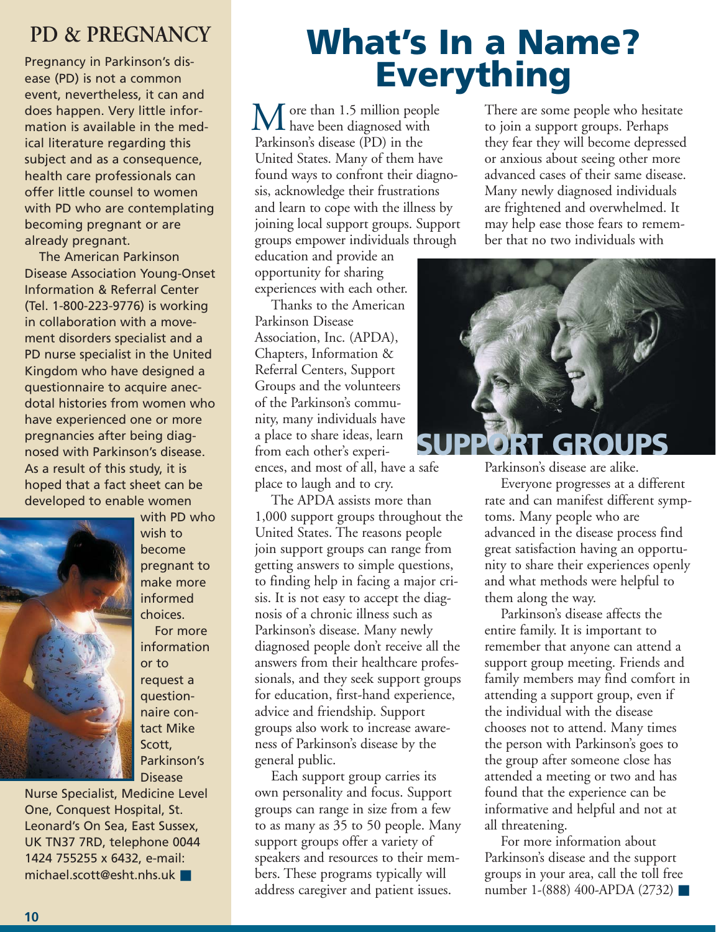## **PD & PREGNANCY**

Pregnancy in Parkinson's disease (PD) is not a common event, nevertheless, it can and does happen. Very little information is available in the medical literature regarding this subject and as a consequence, health care professionals can offer little counsel to women with PD who are contemplating becoming pregnant or are already pregnant.

The American Parkinson Disease Association Young-Onset Information & Referral Center (Tel. 1-800-223-9776) is working in collaboration with a movement disorders specialist and a PD nurse specialist in the United Kingdom who have designed a questionnaire to acquire anecdotal histories from women who have experienced one or more pregnancies after being diagnosed with Parkinson's disease. As a result of this study, it is hoped that a fact sheet can be developed to enable women



wish to become pregnant to make more informed choices. For more information or to request a questionnaire contact Mike Scott, Parkinson's Disease

with PD who

Nurse Specialist, Medicine Level One, Conquest Hospital, St. Leonard's On Sea, East Sussex, UK TN37 7RD, telephone 0044 1424 755255 x 6432, e-mail: michael.scott@esht.nhs.uk ■

## **What's In a Name? Everything**

ore than 1.5 million people  $\mathbf{M}$  ore than 1.5 million peop Parkinson's disease (PD) in the United States. Many of them have found ways to confront their diagnosis, acknowledge their frustrations and learn to cope with the illness by joining local support groups. Support groups empower individuals through

education and provide an opportunity for sharing experiences with each other.

Thanks to the American Parkinson Disease Association, Inc. (APDA), Chapters, Information & Referral Centers, Support Groups and the volunteers of the Parkinson's community, many individuals have a place to share ideas, learn from each other's experiences, and most of all, have a safe place to laugh and to cry.

The APDA assists more than 1,000 support groups throughout the United States. The reasons people join support groups can range from getting answers to simple questions, to finding help in facing a major crisis. It is not easy to accept the diagnosis of a chronic illness such as Parkinson's disease. Many newly diagnosed people don't receive all the answers from their healthcare professionals, and they seek support groups for education, first-hand experience, advice and friendship. Support groups also work to increase awareness of Parkinson's disease by the general public.

Each support group carries its own personality and focus. Support groups can range in size from a few to as many as 35 to 50 people. Many support groups offer a variety of speakers and resources to their members. These programs typically will address caregiver and patient issues.

There are some people who hesitate to join a support groups. Perhaps they fear they will become depressed or anxious about seeing other more advanced cases of their same disease. Many newly diagnosed individuals are frightened and overwhelmed. It may help ease those fears to remember that no two individuals with



Parkinson's disease are alike.

Everyone progresses at a different rate and can manifest different symptoms. Many people who are advanced in the disease process find great satisfaction having an opportunity to share their experiences openly and what methods were helpful to them along the way.

Parkinson's disease affects the entire family. It is important to remember that anyone can attend a support group meeting. Friends and family members may find comfort in attending a support group, even if the individual with the disease chooses not to attend. Many times the person with Parkinson's goes to the group after someone close has attended a meeting or two and has found that the experience can be informative and helpful and not at all threatening.

For more information about Parkinson's disease and the support groups in your area, call the toll free number 1-(888) 400-APDA (2732) ■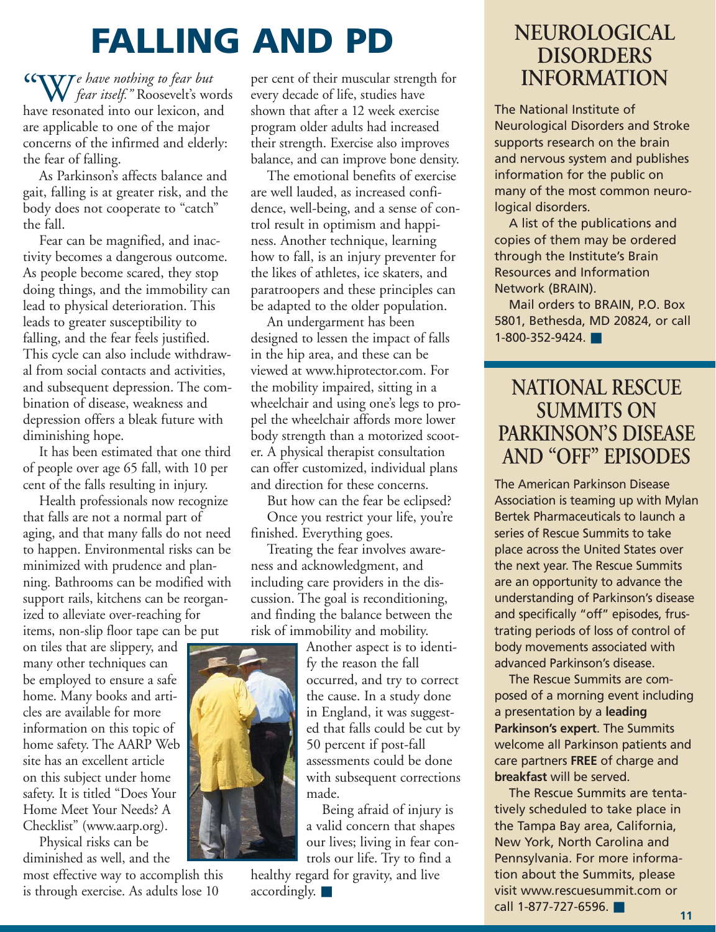## **FALLING AND PD**

*e have nothing to fear but fear itself."* Roosevelt's words have resonated into our lexicon, and are applicable to one of the major concerns of the infirmed and elderly: the fear of falling. "W

As Parkinson's affects balance and gait, falling is at greater risk, and the body does not cooperate to "catch" the fall.

Fear can be magnified, and inactivity becomes a dangerous outcome. As people become scared, they stop doing things, and the immobility can lead to physical deterioration. This leads to greater susceptibility to falling, and the fear feels justified. This cycle can also include withdrawal from social contacts and activities, and subsequent depression. The combination of disease, weakness and depression offers a bleak future with diminishing hope.

It has been estimated that one third of people over age 65 fall, with 10 per cent of the falls resulting in injury.

Health professionals now recognize that falls are not a normal part of aging, and that many falls do not need to happen. Environmental risks can be minimized with prudence and planning. Bathrooms can be modified with support rails, kitchens can be reorganized to alleviate over-reaching for items, non-slip floor tape can be put

on tiles that are slippery, and many other techniques can be employed to ensure a safe home. Many books and articles are available for more information on this topic of home safety. The AARP Web site has an excellent article on this subject under home safety. It is titled "Does Your Home Meet Your Needs? A Checklist" (www.aarp.org).

Physical risks can be diminished as well, and the

most effective way to accomplish this is through exercise. As adults lose 10

per cent of their muscular strength for every decade of life, studies have shown that after a 12 week exercise program older adults had increased their strength. Exercise also improves balance, and can improve bone density.

The emotional benefits of exercise are well lauded, as increased confidence, well-being, and a sense of control result in optimism and happiness. Another technique, learning how to fall, is an injury preventer for the likes of athletes, ice skaters, and paratroopers and these principles can be adapted to the older population.

An undergarment has been designed to lessen the impact of falls in the hip area, and these can be viewed at www.hiprotector.com. For the mobility impaired, sitting in a wheelchair and using one's legs to propel the wheelchair affords more lower body strength than a motorized scooter. A physical therapist consultation can offer customized, individual plans and direction for these concerns.

But how can the fear be eclipsed? Once you restrict your life, you're finished. Everything goes.

Treating the fear involves awareness and acknowledgment, and including care providers in the discussion. The goal is reconditioning, and finding the balance between the risk of immobility and mobility.

Another aspect is to identify the reason the fall occurred, and try to correct the cause. In a study done in England, it was suggested that falls could be cut by 50 percent if post-fall assessments could be done with subsequent corrections made.

Being afraid of injury is a valid concern that shapes our lives; living in fear controls our life. Try to find a

healthy regard for gravity, and live accordingly. ■

## **NEUROLOGICAL DISORDERS INFORMATION**

The National Institute of Neurological Disorders and Stroke supports research on the brain and nervous system and publishes information for the public on many of the most common neurological disorders.

A list of the publications and copies of them may be ordered through the Institute's Brain Resources and Information Network (BRAIN).

Mail orders to BRAIN, P.O. Box 5801, Bethesda, MD 20824, or call 1-800-352-9424. ■

## **NATIONAL RESCUE SUMMITS ON PARKINSON'S DISEASE AND "OFF" EPISODES**

The American Parkinson Disease Association is teaming up with Mylan Bertek Pharmaceuticals to launch a series of Rescue Summits to take place across the United States over the next year. The Rescue Summits are an opportunity to advance the understanding of Parkinson's disease and specifically "off" episodes, frustrating periods of loss of control of body movements associated with advanced Parkinson's disease.

The Rescue Summits are composed of a morning event including a presentation by a **leading Parkinson's expert**. The Summits welcome all Parkinson patients and care partners **FREE** of charge and **breakfast** will be served.

The Rescue Summits are tentatively scheduled to take place in the Tampa Bay area, California, New York, North Carolina and Pennsylvania. For more information about the Summits, please visit www.rescuesummit.com or call 1-877-727-6596. ■